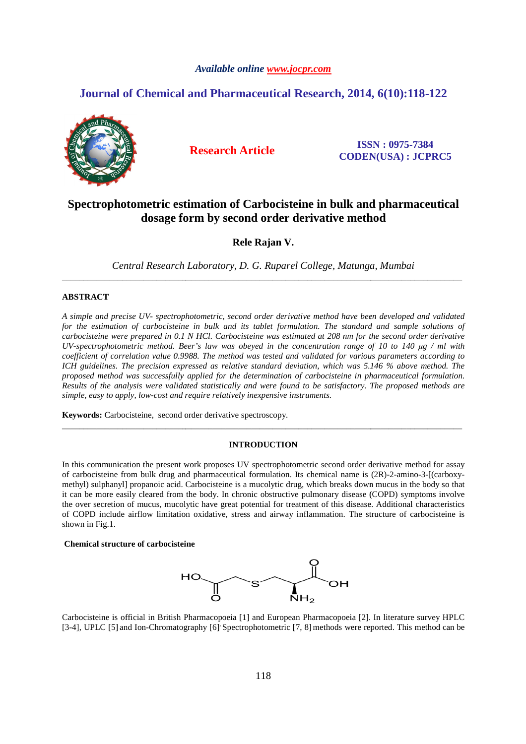# *Available online www.jocpr.com*

# **Journal of Chemical and Pharmaceutical Research, 2014, 6(10):118-122<br>
<b>And Research Article ISSN** : 0975-7384<br> **6(10):118-122 6(10):118-122**



**CODEN(USA) : JCPRC5 0975-7384** 

# Spectrophotometric estimation of Carbocisteine in bulk and pharmaceutical **dosage form by second order derivative method**

**Rele Rajan V.** 

*Central Research Laboratory Laboratory, D. G. Ruparel College, Matunga, Mumbai* \_\_\_\_\_\_\_\_\_\_\_\_\_\_\_\_\_\_\_\_\_\_\_\_\_\_\_\_\_\_\_\_\_\_\_\_\_\_\_\_\_\_\_\_\_\_\_\_\_\_\_\_\_\_\_\_\_\_\_\_\_\_\_\_\_\_\_\_\_\_\_\_\_\_\_\_\_\_\_\_\_\_\_\_\_\_\_\_\_\_\_\_\_

# **ABSTRACT**

A simple and precise UV- spectrophotometric, second order derivative method have been developed and validated for the estimation of carbocisteine in bulk and its tablet formulation. The standard and sample solutions of *carbocisteine were prepared in 0.1 N HCl. Carb Carbocisteine was estimated at 208 nm for the second UV-spectrophotometric method. Beer's law was obeyed in the concentration range of 10 to 140*  $\mu$ *g / ml with coefficient of correlation value 0.99 0.9988. The method was tested and validated for various parameters according to*  ICH guidelines. The precision expressed as relative standard deviation, which was 5.146 % above method. The *proposed method was successfully applied for the determination of carbocisteine in pharmaceutical formulation. Results of the analysis were validated statistically and were found to be satisfactory. The proposed methods are determination were pharmaceutical to methods simple, easy to apply, low-cost and require relatively inexpensive instruments. etric, second order derivative method have been developed and validated*<br>ulk and its tablet formulation. The standard and sample solutions of<br>l. Carbocisteine was estimated at 208 nm for the second order derivative

Keywords: Carbocisteine, second order derivative spectroscopy.

# **INTRODUCTION**

\_\_\_\_\_\_\_\_\_\_\_\_\_\_\_\_\_\_\_\_\_\_\_\_\_\_\_\_\_\_\_\_\_\_\_\_\_\_\_\_\_\_\_\_\_\_\_\_\_\_\_\_\_\_\_\_\_\_\_\_\_\_\_\_\_\_\_\_\_\_\_\_\_\_\_\_\_\_\_\_\_\_\_\_\_\_\_\_\_\_\_\_\_

In this communication the present work proposes UV spectrophotometric second order derivative method for assay of carbocisteine from bulk drug and pharmaceutical formulation. Its chemical name is  $(2R)$ -2-amino-3-[(carboxymethyl) sulphanyl] propanoic acid. Carbocisteine is a mucolytic drug, which breaks down mucus in the body so that it can be more easily cleared from the body. In chronic obstructive pulmonary disease (COPD) symptoms involve it can be more easily cleared from the body. In chronic obstructive pulmonary disease (COPD) symptoms involve<br>the over secretion of mucus, mucolytic have great potential for treatment of this disease. Additional characteri of COPD include airflow limitation oxidative, stress and airway inflammation. The structure of carbocisteine is shown in Fig.1. obstructive pulmonary disease (COPD) symptoms involtial for treatment of this disease. Additional characteristic of airway inflammation. The structure of carbocisteine<br>d airway inflammation. The structure of carbocisteine<br>

# **Chemical structure of carbocisteine of**



Carbocisteine is official in British Pharmacopoeia [ [1] and European Pharmacopoeia [2]. In literature survey HPLC [3-4], UPLC [5] and Ion-Chromatography [6] Spectrophotometric [7, 8] methods were reported. This method can be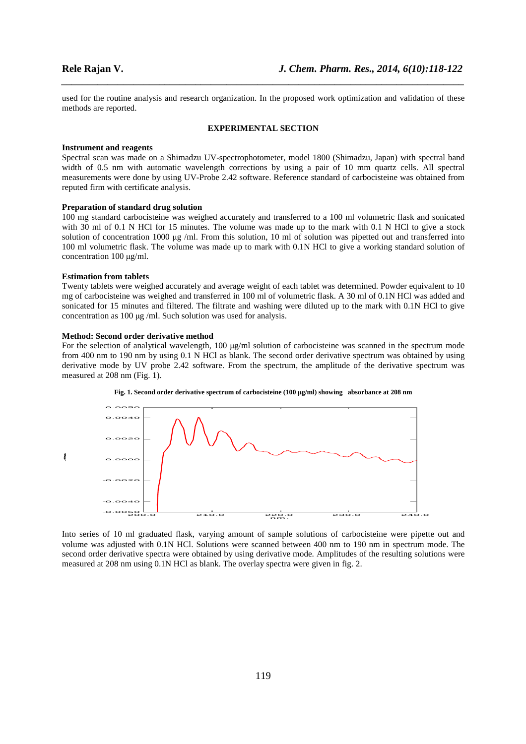used for the routine analysis and research organization. In the proposed work optimization and validation of these methods are reported.

*\_\_\_\_\_\_\_\_\_\_\_\_\_\_\_\_\_\_\_\_\_\_\_\_\_\_\_\_\_\_\_\_\_\_\_\_\_\_\_\_\_\_\_\_\_\_\_\_\_\_\_\_\_\_\_\_\_\_\_\_\_\_\_\_\_\_\_\_\_\_\_\_\_\_\_\_\_\_*

### **EXPERIMENTAL SECTION**

# **Instrument and reagents**

Spectral scan was made on a Shimadzu UV-spectrophotometer, model 1800 (Shimadzu, Japan) with spectral band width of 0.5 nm with automatic wavelength corrections by using a pair of 10 mm quartz cells. All spectral measurements were done by using UV-Probe 2.42 software. Reference standard of carbocisteine was obtained from reputed firm with certificate analysis.

# **Preparation of standard drug solution**

100 mg standard carbocisteine was weighed accurately and transferred to a 100 ml volumetric flask and sonicated with 30 ml of 0.1 N HCl for 15 minutes. The volume was made up to the mark with 0.1 N HCl to give a stock solution of concentration 1000  $\mu$ g /ml. From this solution, 10 ml of solution was pipetted out and transferred into 100 ml volumetric flask. The volume was made up to mark with 0.1N HCl to give a working standard solution of concentration 100 µg/ml.

# **Estimation from tablets**

Twenty tablets were weighed accurately and average weight of each tablet was determined. Powder equivalent to 10 mg of carbocisteine was weighed and transferred in 100 ml of volumetric flask. A 30 ml of 0.1N HCl was added and sonicated for 15 minutes and filtered. The filtrate and washing were diluted up to the mark with 0.1N HCl to give concentration as 100 µg /ml. Such solution was used for analysis.

# **Method: Second order derivative method**

For the selection of analytical wavelength, 100  $\mu$ g/ml solution of carbocisteine was scanned in the spectrum mode from 400 nm to 190 nm by using 0.1 N HCl as blank. The second order derivative spectrum was obtained by using derivative mode by UV probe 2.42 software. From the spectrum, the amplitude of the derivative spectrum was measured at 208 nm (Fig. 1).





Into series of 10 ml graduated flask, varying amount of sample solutions of carbocisteine were pipette out and volume was adjusted with 0.1N HCl. Solutions were scanned between 400 nm to 190 nm in spectrum mode. The second order derivative spectra were obtained by using derivative mode. Amplitudes of the resulting solutions were measured at 208 nm using 0.1N HCl as blank. The overlay spectra were given in fig. 2.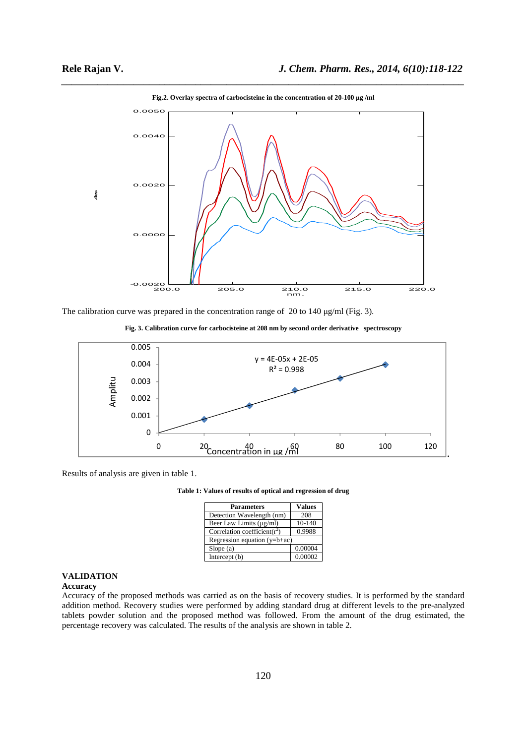

*\_\_\_\_\_\_\_\_\_\_\_\_\_\_\_\_\_\_\_\_\_\_\_\_\_\_\_\_\_\_\_\_\_\_\_\_\_\_\_\_\_\_\_\_\_\_\_\_\_\_\_\_\_\_\_\_\_\_\_\_\_\_\_\_\_\_\_\_\_\_\_\_\_\_\_\_\_\_* **Fig.2. Overlay spectra of carbocisteine in the concentration of 20-100 µg /ml** 

The calibration curve was prepared in the concentration range of 20 to 140 µg/ml (Fig. 3).





Results of analysis are given in table 1.

**Table 1: Values of results of optical and regression of drug** 

| <b>Parameters</b>                | <b>Values</b> |
|----------------------------------|---------------|
| Detection Wavelength (nm)        | 208           |
| Beer Law Limits (µg/ml)          | $10-140$      |
| Correlation coefficient( $r^2$ ) | 0.9988        |
| Regression equation $(y=b+ac)$   |               |
| Slope(a)                         | 0.00004       |
| Intercept (b)                    | 0.00002       |

# **VALIDATION**

# **Accuracy**

Accuracy of the proposed methods was carried as on the basis of recovery studies. It is performed by the standard addition method. Recovery studies were performed by adding standard drug at different levels to the pre-analyzed tablets powder solution and the proposed method was followed. From the amount of the drug estimated, the percentage recovery was calculated. The results of the analysis are shown in table 2.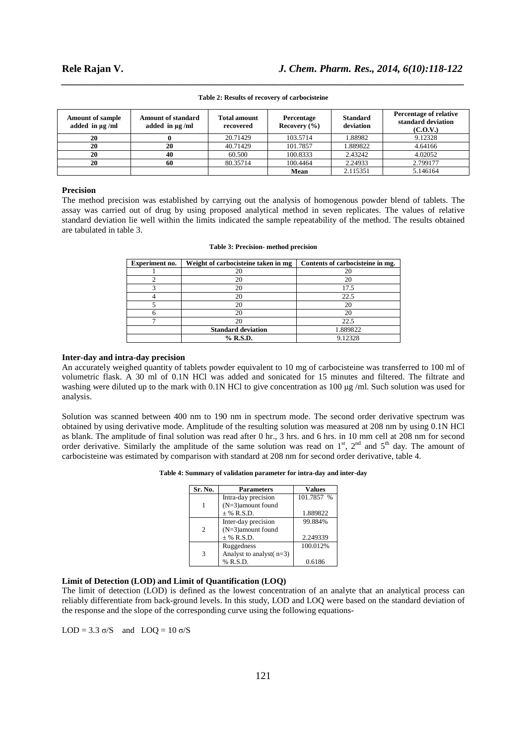| <b>Amount of sample</b><br>added in $\mu$ g/ml | Amount of standard<br>added in $\mu$ g/ml | <b>Total amount</b><br>recovered | Percentage<br>Recovery $(\% )$ | <b>Standard</b><br>deviation | <b>Percentage of relative</b><br>standard deviation<br>(C.O.V.) |
|------------------------------------------------|-------------------------------------------|----------------------------------|--------------------------------|------------------------------|-----------------------------------------------------------------|
| 20                                             |                                           | 20.71429                         | 103.5714                       | 1.88982                      | 9.12328                                                         |
| 20                                             | 20                                        | 40.71429                         | 101.7857                       | 1.889822                     | 4.64166                                                         |
| 20                                             | 40                                        | 60.500                           | 100.8333                       | 2.43242                      | 4.02052                                                         |
| 20                                             | 60                                        | 80.35714                         | 100.4464                       | 2.24933                      | 2.799177                                                        |
|                                                |                                           |                                  | Mean                           | 2.115351                     | 5.146164                                                        |

# *\_\_\_\_\_\_\_\_\_\_\_\_\_\_\_\_\_\_\_\_\_\_\_\_\_\_\_\_\_\_\_\_\_\_\_\_\_\_\_\_\_\_\_\_\_\_\_\_\_\_\_\_\_\_\_\_\_\_\_\_\_\_\_\_\_\_\_\_\_\_\_\_\_\_\_\_\_\_* **Table 2: Results of recovery of carbocisteine**

# **Precision**

The method precision was established by carrying out the analysis of homogenous powder blend of tablets. The assay was carried out of drug by using proposed analytical method in seven replicates. The values of relative standard deviation lie well within the limits indicated the sample repeatability of the method. The results obtained are tabulated in table 3.

| Experiment no. | Weight of carbocisteine taken in mg | Contents of carbocisteine in mg. |
|----------------|-------------------------------------|----------------------------------|
|                | 20                                  | 20                               |
|                | 20                                  | 20                               |
|                | 20                                  | 17.5                             |
|                | 20                                  | 22.5                             |
|                | 20                                  | 20                               |
|                | 20                                  | 20                               |
|                | 20                                  | 22.5                             |
|                | <b>Standard deviation</b>           | 1.889822                         |
|                | % R.S.D.                            | 9.12328                          |

# **Table 3: Precision- method precision**

# **Inter-day and intra-day precision**

An accurately weighed quantity of tablets powder equivalent to 10 mg of carbocisteine was transferred to 100 ml of volumetric flask. A 30 ml of 0.1N HCl was added and sonicated for 15 minutes and filtered. The filtrate and washing were diluted up to the mark with 0.1N HCl to give concentration as 100 µg /ml. Such solution was used for analysis.

Solution was scanned between 400 nm to 190 nm in spectrum mode. The second order derivative spectrum was obtained by using derivative mode. Amplitude of the resulting solution was measured at 208 nm by using 0.1N HCl as blank. The amplitude of final solution was read after 0 hr., 3 hrs. and 6 hrs. in 10 mm cell at 208 nm for second order derivative. Similarly the amplitude of the same solution was read on 1<sup>st</sup>, 2<sup>nd</sup> and 5<sup>th</sup> day. The amount of carbocisteine was estimated by comparison with standard at 208 nm for second order derivative, table 4.

| Table 4: Summary of validation parameter for intra-day and inter-day |  |
|----------------------------------------------------------------------|--|
|----------------------------------------------------------------------|--|

| Sr. No.       | <b>Parameters</b>          | <b>Values</b> |
|---------------|----------------------------|---------------|
|               | Intra-day precision        | 101.7857 %    |
|               | $(N=3)$ amount found       |               |
|               | $±$ % R.S.D.               | 1.889822      |
|               | Inter-day precision        | 99.884%       |
| $\mathcal{L}$ | $(N=3)$ amount found       |               |
|               | $±$ % R.S.D.               | 2.249339      |
|               | Ruggedness                 | 100.012%      |
| 3             | Analyst to analyst $(n=3)$ |               |
|               | % R.S.D.                   | 0.6186        |

# **Limit of Detection (LOD) and Limit of Quantification (LOQ)**

The limit of detection (LOD) is defined as the lowest concentration of an analyte that an analytical process can reliably differentiate from back-ground levels. In this study, LOD and LOQ were based on the standard deviation of the response and the slope of the corresponding curve using the following equations-

LOD = 3.3  $\sigma$ /S and LOQ = 10  $\sigma$ /S